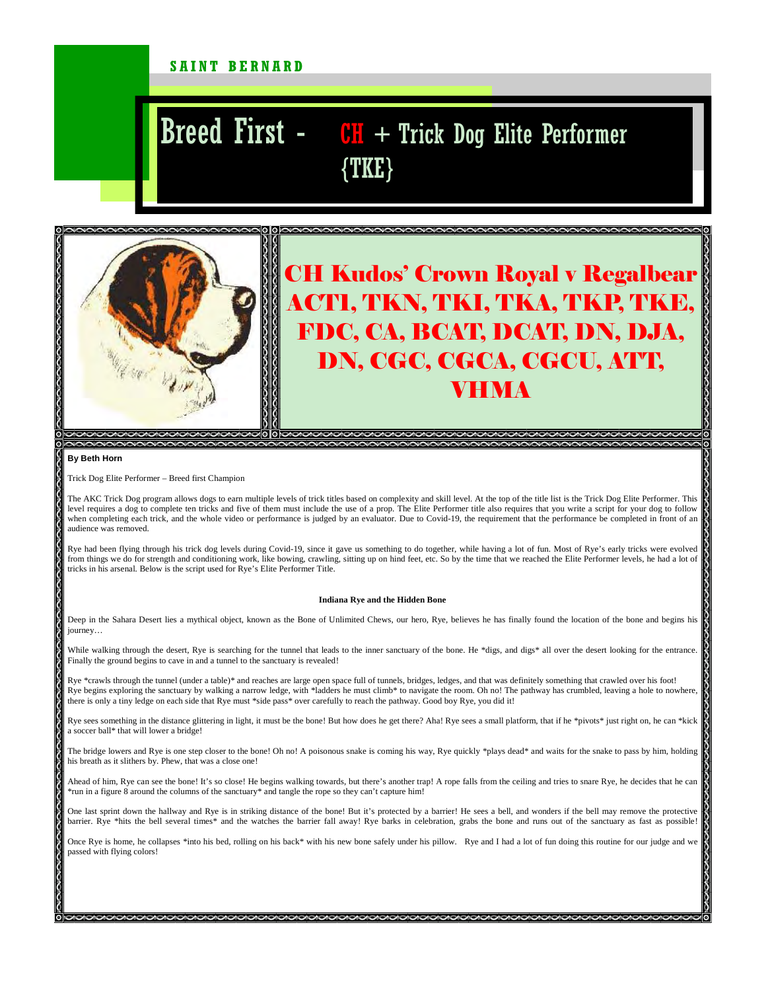### SAINT BERNARD

# Breed First - CH + Trick Dog Elite Performer {TKE}



## CH Kudos' Crown Royal v Regalbear ACT1, TKN, TKI, TKA, TKP, TKE, FDC, CA, BCAT, DCAT, DN, DJA, DN, CGC, CGCA, CGCU, ATT, VHMA

#### **By Beth Horn**

Trick Dog Elite Performer – Breed first Champion

The AKC Trick Dog program allows dogs to earn multiple levels of trick titles based on complexity and skill level. At the top of the title list is the Trick Dog Elite Performer. This level requires a dog to complete ten tricks and five of them must include the use of a prop. The Elite Performer title also requires that you write a script for your dog to follow when completing each trick, and the whole video or performance is judged by an evaluator. Due to Covid-19, the requirement that the performance be completed in front of an audience was removed.

Rye had been flying through his trick dog levels during Covid-19, since it gave us something to do together, while having a lot of fun. Most of Rye's early tricks were evolved from things we do for strength and conditioning work, like bowing, crawling, sitting up on hind feet, etc. So by the time that we reached the Elite Performer levels, he had a lot of tricks in his arsenal. Below is the script used for Rye's Elite Performer Title.

#### **Indiana Rye and the Hidden Bone**

Deep in the Sahara Desert lies a mythical object, known as the Bone of Unlimited Chews, our hero, Rye, believes he has finally found the location of the bone and begins his journey…

While walking through the desert, Rye is searching for the tunnel that leads to the inner sanctuary of the bone. He \*digs, and digs\* all over the desert looking for the entrance Finally the ground begins to cave in and a tunnel to the sanctuary is revealed!

Rye \*crawls through the tunnel (under a table)\* and reaches are large open space full of tunnels, bridges, ledges, and that was definitely something that crawled over his foot! Rye begins exploring the sanctuary by walking a narrow ledge, with \*ladders he must climb\* to navigate the room. Oh no! The pathway has crumbled, leaving a hole to nowhere, there is only a tiny ledge on each side that Rye must \*side pass\* over carefully to reach the pathway. Good boy Rye, you did it!

Rye sees something in the distance glittering in light, it must be the bone! But how does he get there? Aha! Rye sees a small platform, that if he \*pivots\* just right on, he can \*kick a soccer ball\* that will lower a bridge!

The bridge lowers and Rye is one step closer to the bone! Oh no! A poisonous snake is coming his way, Rye quickly \*plays dead\* and waits for the snake to pass by him, holding his breath as it slithers by. Phew, that was a close one!

Ahead of him, Rye can see the bone! It's so close! He begins walking towards, but there's another trap! A rope falls from the ceiling and tries to snare Rye, he decides that he can \*run in a figure 8 around the columns of the sanctuary\* and tangle the rope so they can't capture him!

One last sprint down the hallway and Rye is in striking distance of the bone! But it's protected by a barrier! He sees a bell, and wonders if the bell may remove the protective barrier. Rye \*hits the bell several times\* and the watches the barrier fall away! Rye barks in celebration, grabs the bone and runs out of the sanctuary as fast as possible!

Once Rye is home, he collapses \*into his bed, rolling on his back\* with his new bone safely under his pillow. Rye and I had a lot of fun doing this routine for our judge and we passed with flying colors!